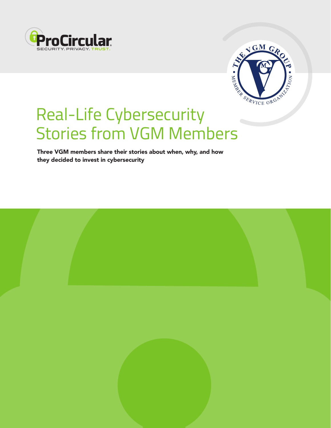



# Real-Life Cybersecurity Stories from VGM Members

Three VGM members share their stories about when, why, and how they decided to invest in cybersecurity

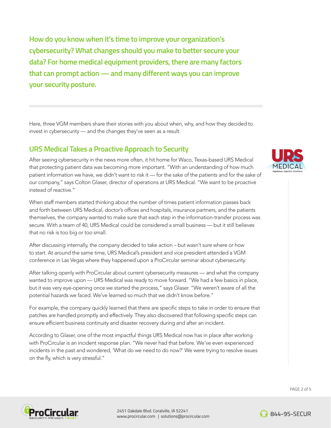**How do you know when it's time to improve your organization's cybersecurity? What changes should you make to better secure your data? For home medical equipment providers, there are many factors that can prompt action — and many different ways you can improve your security posture.** 

Here, three VGM members share their stories with you about when, why, and how they decided to invest in cybersecurity — and the changes they've seen as a result.

### **URS Medical Takes a Proactive Approach to Security**

After seeing cybersecurity in the news more often, it hit home for Waco, Texas-based URS Medical that protecting patient data was becoming more important. "With an understanding of how much patient information we have, we didn't want to risk it — for the sake of the patients and for the sake of our company," says Colton Glaser, director of operations at URS Medical. "We want to be proactive instead of reactive."

When staff members started thinking about the number of times patient information passes back and forth between URS Medical, doctor's offices and hospitals, insurance partners, and the patients themselves, the company wanted to make sure that each step in the information-transfer process was secure. With a team of 40, URS Medical could be considered a small business — but it still believes that no risk is too big or too small.

After discussing internally, the company decided to take action – but wasn't sure where or how to start. At around the same time, URS Medical's president and vice president attended a VGM conference in Las Vegas where they happened upon a ProCircular seminar about cybersecurity.

After talking openly with ProCircular about current cybersecurity measures — and what the company wanted to improve upon — URS Medical was ready to move forward. "We had a few basics in place, but it was very eye-opening once we started the process," says Glaser. "We weren't aware of all the potential hazards we faced. We've learned so much that we didn't know before."

For example, the company quickly learned that there are specific steps to take in order to ensure that patches are handled promptly and effectively. They also discovered that following specific steps can ensure efficient business continuity and disaster recovery during and after an incident.

According to Glaser, one of the most impactful things URS Medical now has in place after working with ProCircular is an incident response plan. "We never had that before. We've even experienced incidents in the past and wondered, 'What do we need to do now?' We were trying to resolve issues on the fly, which is very stressful."





2451 Oakdale Blvd. Coralville, IA 52241 www.procircular.com | solutions@procircular.com



**844-95-SECUR** 

PAGE 2 of 5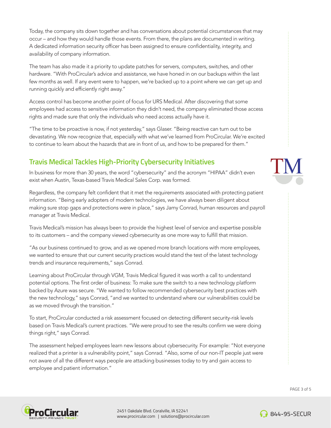Today, the company sits down together and has conversations about potential circumstances that may occur – and how they would handle those events. From there, the plans are documented in writing. A dedicated information security officer has been assigned to ensure confidentiality, integrity, and availability of company information.

The team has also made it a priority to update patches for servers, computers, switches, and other hardware. "With ProCircular's advice and assistance, we have honed in on our backups within the last few months as well. If any event were to happen, we're backed up to a point where we can get up and running quickly and efficiently right away."

Access control has become another point of focus for URS Medical. After discovering that some employees had access to sensitive information they didn't need, the company eliminated those access rights and made sure that only the individuals who need access actually have it.

"The time to be proactive is now, if not yesterday," says Glaser. "Being reactive can turn out to be devastating. We now recognize that, especially with what we've learned from ProCircular. We're excited to continue to learn about the hazards that are in front of us, and how to be prepared for them."

# **Travis Medical Tackles High-Priority Cybersecurity Initiatives**

In business for more than 30 years, the word "cybersecurity" and the acronym "HIPAA" didn't even exist when Austin, Texas-based Travis Medical Sales Corp. was formed.

Regardless, the company felt confident that it met the requirements associated with protecting patient information. "Being early adopters of modern technologies, we have always been diligent about making sure stop gaps and protections were in place," says Jamy Conrad, human resources and payroll manager at Travis Medical.

Travis Medical's mission has always been to provide the highest level of service and expertise possible to its customers – and the company viewed cybersecurity as one more way to fulfill that mission.

"As our business continued to grow, and as we opened more branch locations with more employees, we wanted to ensure that our current security practices would stand the test of the latest technology trends and insurance requirements," says Conrad.

Learning about ProCircular through VGM, Travis Medical figured it was worth a call to understand potential options. The first order of business: To make sure the switch to a new technology platform backed by Azure was secure. "We wanted to follow recommended cybersecurity best practices with the new technology," says Conrad, "and we wanted to understand where our vulnerabilities could be as we moved through the transition."

To start, ProCircular conducted a risk assessment focused on detecting different security-risk levels based on Travis Medical's current practices. "We were proud to see the results confirm we were doing things right," says Conrad.

The assessment helped employees learn new lessons about cybersecurity. For example: "Not everyone realized that a printer is a vulnerability point," says Conrad. "Also, some of our non-IT people just were not aware of all the different ways people are attacking businesses today to try and gain access to employee and patient information."





2451 Oakdale Blvd. Coralville, IA 52241 www.procircular.com | solutions@procircular.com



**844-95-SECUR** 

PAGE 3 of 5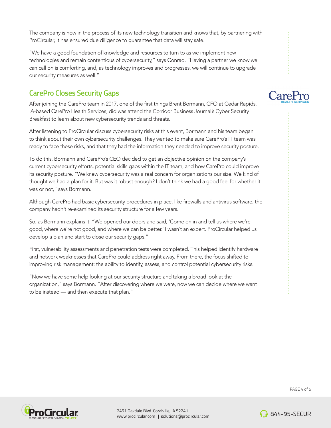The company is now in the process of its new technology transition and knows that, by partnering with ProCircular, it has ensured due diligence to guarantee that data will stay safe.

"We have a good foundation of knowledge and resources to turn to as we implement new technologies and remain contentious of cybersecurity," says Conrad. "Having a partner we know we can call on is comforting, and, as technology improves and progresses, we will continue to upgrade our security measures as well."

## **CarePro Closes Security Gaps**

After joining the CarePro team in 2017, one of the first things Brent Bormann, CFO at Cedar Rapids, IA-based CarePro Health Services, did was attend the Corridor Business Journal's Cyber Security Breakfast to learn about new cybersecurity trends and threats.

After listening to ProCircular discuss cybersecurity risks at this event, Bormann and his team began to think about their own cybersecurity challenges. They wanted to make sure CarePro's IT team was ready to face these risks, and that they had the information they needed to improve security posture.

To do this, Bormann and CarePro's CEO decided to get an objective opinion on the company's current cybersecurity efforts, potential skills gaps within the IT team, and how CarePro could improve its security posture. "We knew cybersecurity was a real concern for organizations our size. We kind of thought we had a plan for it. But was it robust enough? I don't think we had a good feel for whether it was or not," says Bormann.

Although CarePro had basic cybersecurity procedures in place, like firewalls and antivirus software, the company hadn't re-examined its security structure for a few years.

So, as Bormann explains it: "We opened our doors and said, 'Come on in and tell us where we're good, where we're not good, and where we can be better.' I wasn't an expert. ProCircular helped us develop a plan and start to close our security gaps."

First, vulnerability assessments and penetration tests were completed. This helped identify hardware and network weaknesses that CarePro could address right away. From there, the focus shifted to improving risk management: the ability to identify, assess, and control potential cybersecurity risks.

"Now we have some help looking at our security structure and taking a broad look at the organization," says Bormann. "After discovering where we were, now we can decide where we want to be instead — and then execute that plan."





2451 Oakdale Blvd. Coralville, IA 52241 www.procircular.com | solutions@procircular.com



**844-95-SECUR** 

PAGE 4 of 5